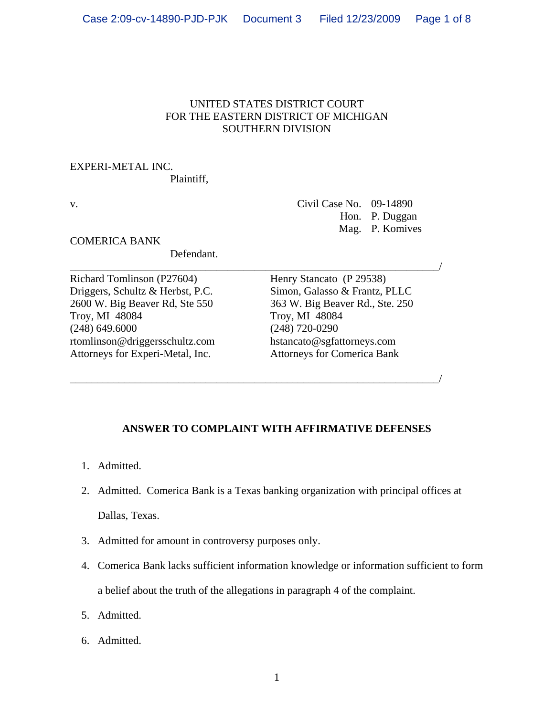## UNITED STATES DISTRICT COURT FOR THE EASTERN DISTRICT OF MICHIGAN SOUTHERN DIVISION

### EXPERI-METAL INC.

Plaintiff,

v. Civil Case No. 09-14890 Hon. P. Duggan Mag. P. Komives

COMERICA BANK

Defendant.

Richard Tomlinson (P27604) Driggers, Schultz & Herbst, P.C. 2600 W. Big Beaver Rd, Ste 550 Troy, MI 48084 (248) 649.6000 rtomlinson@driggersschultz.com Attorneys for Experi-Metal, Inc.

\_\_\_\_\_\_\_\_\_\_\_\_\_\_\_\_\_\_\_\_\_\_\_\_\_\_\_\_\_\_\_\_\_\_\_\_\_\_\_\_\_\_\_\_\_\_\_\_\_\_\_\_\_\_\_\_\_\_\_\_\_\_\_\_\_\_\_\_/ Henry Stancato (P 29538) Simon, Galasso & Frantz, PLLC 363 W. Big Beaver Rd., Ste. 250 Troy, MI 48084 (248) 720-0290 hstancato@sgfattorneys.com Attorneys for Comerica Bank

# **ANSWER TO COMPLAINT WITH AFFIRMATIVE DEFENSES**

\_\_\_\_\_\_\_\_\_\_\_\_\_\_\_\_\_\_\_\_\_\_\_\_\_\_\_\_\_\_\_\_\_\_\_\_\_\_\_\_\_\_\_\_\_\_\_\_\_\_\_\_\_\_\_\_\_\_\_\_\_\_\_\_\_\_\_\_/

- 1. Admitted.
- 2. Admitted. Comerica Bank is a Texas banking organization with principal offices at Dallas, Texas.
- 3. Admitted for amount in controversy purposes only.
- 4. Comerica Bank lacks sufficient information knowledge or information sufficient to form a belief about the truth of the allegations in paragraph 4 of the complaint.
- 5. Admitted.
- 6. Admitted.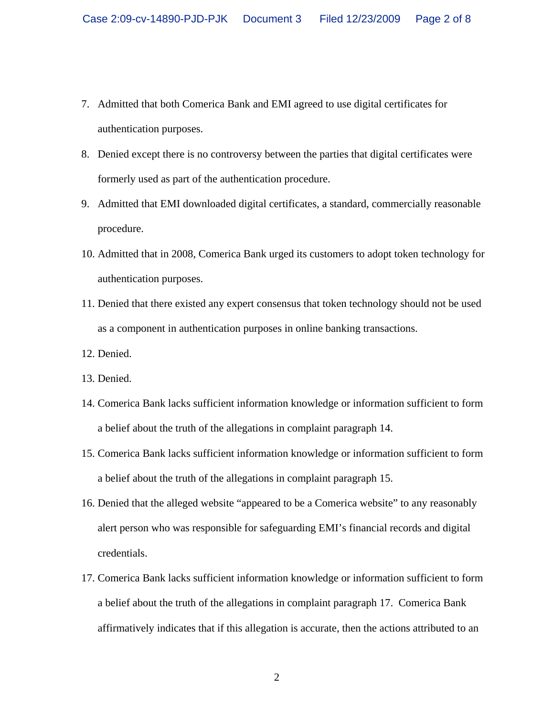- 7. Admitted that both Comerica Bank and EMI agreed to use digital certificates for authentication purposes.
- 8. Denied except there is no controversy between the parties that digital certificates were formerly used as part of the authentication procedure.
- 9. Admitted that EMI downloaded digital certificates, a standard, commercially reasonable procedure.
- 10. Admitted that in 2008, Comerica Bank urged its customers to adopt token technology for authentication purposes.
- 11. Denied that there existed any expert consensus that token technology should not be used as a component in authentication purposes in online banking transactions.
- 12. Denied.
- 13. Denied.
- 14. Comerica Bank lacks sufficient information knowledge or information sufficient to form a belief about the truth of the allegations in complaint paragraph 14.
- 15. Comerica Bank lacks sufficient information knowledge or information sufficient to form a belief about the truth of the allegations in complaint paragraph 15.
- 16. Denied that the alleged website "appeared to be a Comerica website" to any reasonably alert person who was responsible for safeguarding EMI's financial records and digital credentials.
- 17. Comerica Bank lacks sufficient information knowledge or information sufficient to form a belief about the truth of the allegations in complaint paragraph 17. Comerica Bank affirmatively indicates that if this allegation is accurate, then the actions attributed to an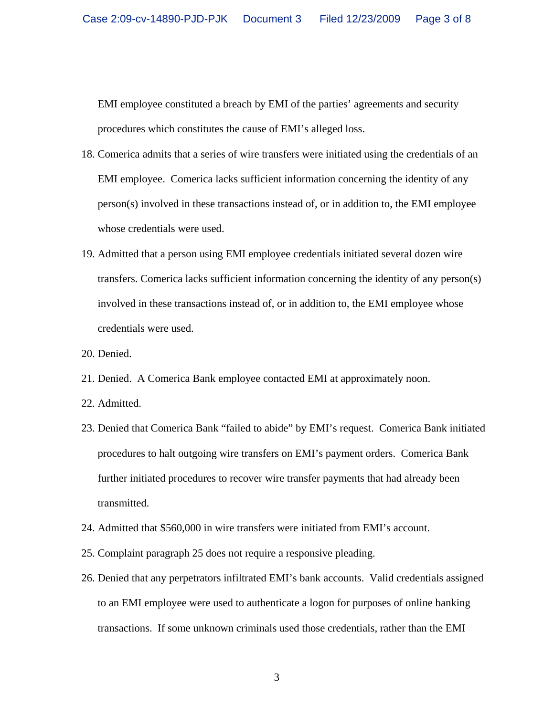EMI employee constituted a breach by EMI of the parties' agreements and security procedures which constitutes the cause of EMI's alleged loss.

- 18. Comerica admits that a series of wire transfers were initiated using the credentials of an EMI employee. Comerica lacks sufficient information concerning the identity of any person(s) involved in these transactions instead of, or in addition to, the EMI employee whose credentials were used.
- 19. Admitted that a person using EMI employee credentials initiated several dozen wire transfers. Comerica lacks sufficient information concerning the identity of any person(s) involved in these transactions instead of, or in addition to, the EMI employee whose credentials were used.
- 20. Denied.
- 21. Denied. A Comerica Bank employee contacted EMI at approximately noon.
- 22. Admitted.
- 23. Denied that Comerica Bank "failed to abide" by EMI's request. Comerica Bank initiated procedures to halt outgoing wire transfers on EMI's payment orders. Comerica Bank further initiated procedures to recover wire transfer payments that had already been transmitted.
- 24. Admitted that \$560,000 in wire transfers were initiated from EMI's account.
- 25. Complaint paragraph 25 does not require a responsive pleading.
- 26. Denied that any perpetrators infiltrated EMI's bank accounts. Valid credentials assigned to an EMI employee were used to authenticate a logon for purposes of online banking transactions. If some unknown criminals used those credentials, rather than the EMI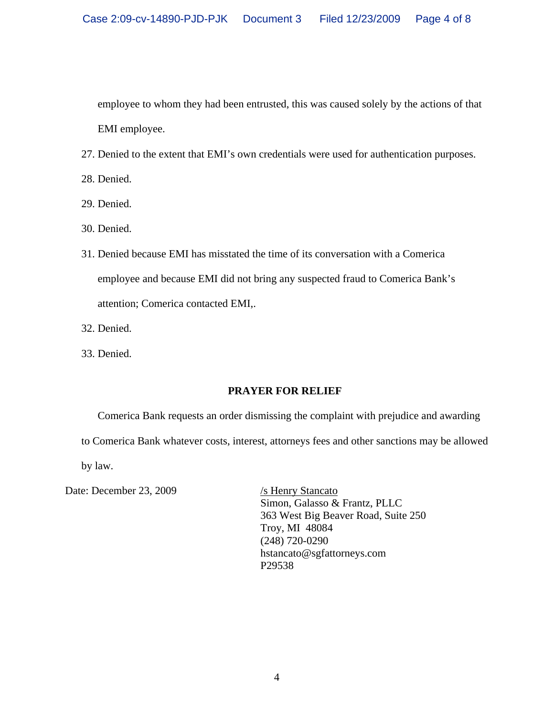employee to whom they had been entrusted, this was caused solely by the actions of that EMI employee.

- 27. Denied to the extent that EMI's own credentials were used for authentication purposes.
- 28. Denied.
- 29. Denied.
- 30. Denied.
- 31. Denied because EMI has misstated the time of its conversation with a Comerica employee and because EMI did not bring any suspected fraud to Comerica Bank's attention; Comerica contacted EMI,.
- 32. Denied.
- 33. Denied.

### **PRAYER FOR RELIEF**

Comerica Bank requests an order dismissing the complaint with prejudice and awarding to Comerica Bank whatever costs, interest, attorneys fees and other sanctions may be allowed by law.

Date: December 23, 2009 /s Henry Stancato

 Simon, Galasso & Frantz, PLLC 363 West Big Beaver Road, Suite 250 Troy, MI 48084 (248) 720-0290 hstancato@sgfattorneys.com P29538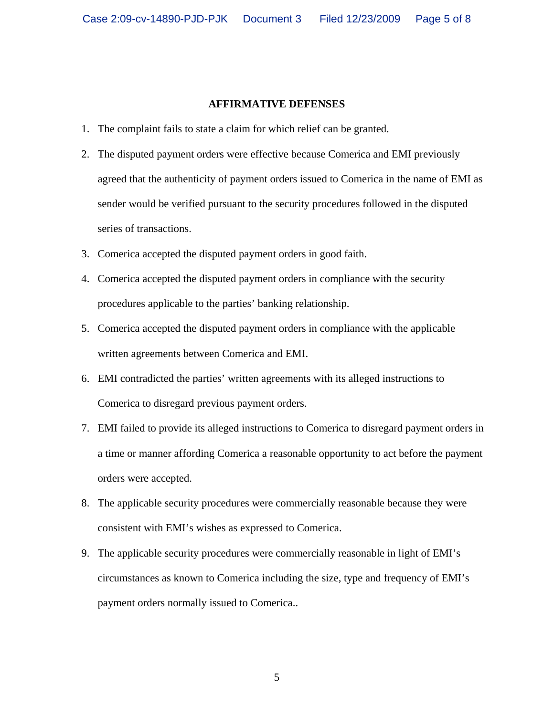### **AFFIRMATIVE DEFENSES**

- 1. The complaint fails to state a claim for which relief can be granted.
- 2. The disputed payment orders were effective because Comerica and EMI previously agreed that the authenticity of payment orders issued to Comerica in the name of EMI as sender would be verified pursuant to the security procedures followed in the disputed series of transactions.
- 3. Comerica accepted the disputed payment orders in good faith.
- 4. Comerica accepted the disputed payment orders in compliance with the security procedures applicable to the parties' banking relationship.
- 5. Comerica accepted the disputed payment orders in compliance with the applicable written agreements between Comerica and EMI.
- 6. EMI contradicted the parties' written agreements with its alleged instructions to Comerica to disregard previous payment orders.
- 7. EMI failed to provide its alleged instructions to Comerica to disregard payment orders in a time or manner affording Comerica a reasonable opportunity to act before the payment orders were accepted.
- 8. The applicable security procedures were commercially reasonable because they were consistent with EMI's wishes as expressed to Comerica.
- 9. The applicable security procedures were commercially reasonable in light of EMI's circumstances as known to Comerica including the size, type and frequency of EMI's payment orders normally issued to Comerica..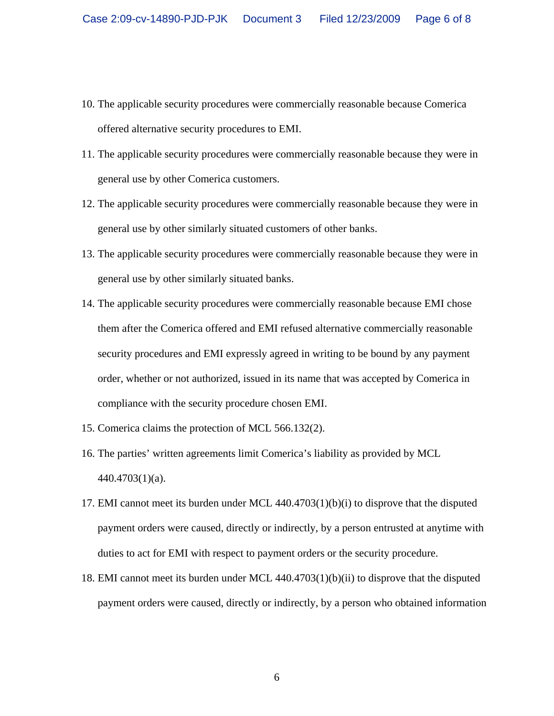- 10. The applicable security procedures were commercially reasonable because Comerica offered alternative security procedures to EMI.
- 11. The applicable security procedures were commercially reasonable because they were in general use by other Comerica customers.
- 12. The applicable security procedures were commercially reasonable because they were in general use by other similarly situated customers of other banks.
- 13. The applicable security procedures were commercially reasonable because they were in general use by other similarly situated banks.
- 14. The applicable security procedures were commercially reasonable because EMI chose them after the Comerica offered and EMI refused alternative commercially reasonable security procedures and EMI expressly agreed in writing to be bound by any payment order, whether or not authorized, issued in its name that was accepted by Comerica in compliance with the security procedure chosen EMI.
- 15. Comerica claims the protection of MCL 566.132(2).
- 16. The parties' written agreements limit Comerica's liability as provided by MCL 440.4703(1)(a).
- 17. EMI cannot meet its burden under MCL 440.4703(1)(b)(i) to disprove that the disputed payment orders were caused, directly or indirectly, by a person entrusted at anytime with duties to act for EMI with respect to payment orders or the security procedure.
- 18. EMI cannot meet its burden under MCL 440.4703(1)(b)(ii) to disprove that the disputed payment orders were caused, directly or indirectly, by a person who obtained information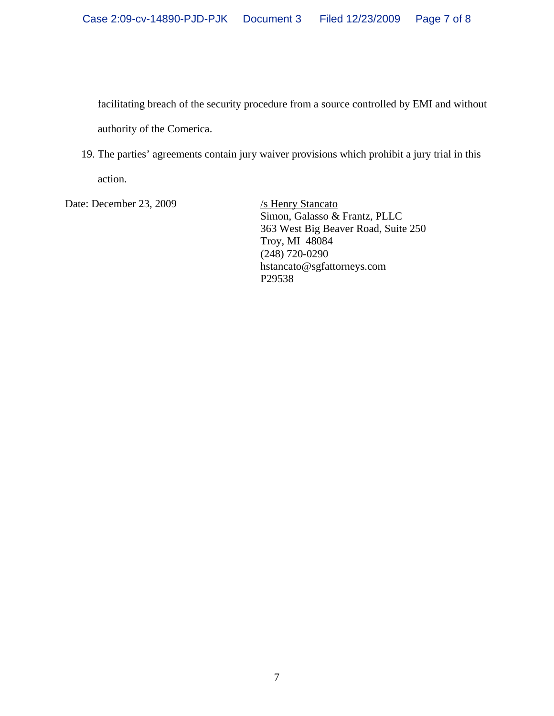facilitating breach of the security procedure from a source controlled by EMI and without authority of the Comerica.

19. The parties' agreements contain jury waiver provisions which prohibit a jury trial in this action.

Date: December 23, 2009 /s Henry Stancato

 Simon, Galasso & Frantz, PLLC 363 West Big Beaver Road, Suite 250 Troy, MI 48084 (248) 720-0290 hstancato@sgfattorneys.com P29538